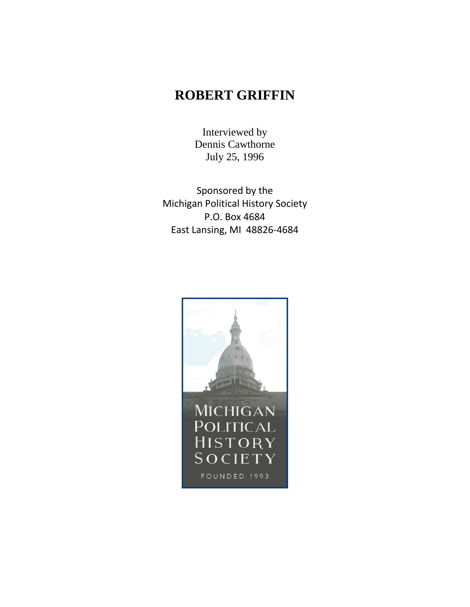# **ROBERT GRIFFIN**

Interviewed by Dennis Cawthorne July 25, 1996

Sponsored by the Michigan Political History Society P.O. Box 4684 East Lansing, MI 48826-4684

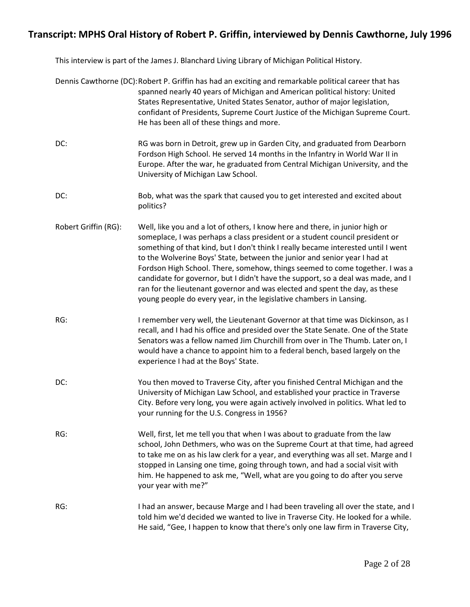This interview is part of the James J. Blanchard Living Library of Michigan Political History.

|                      | Dennis Cawthorne (DC): Robert P. Griffin has had an exciting and remarkable political career that has<br>spanned nearly 40 years of Michigan and American political history: United<br>States Representative, United States Senator, author of major legislation,<br>confidant of Presidents, Supreme Court Justice of the Michigan Supreme Court.<br>He has been all of these things and more.                                                                                                                                                                                                                                                          |
|----------------------|----------------------------------------------------------------------------------------------------------------------------------------------------------------------------------------------------------------------------------------------------------------------------------------------------------------------------------------------------------------------------------------------------------------------------------------------------------------------------------------------------------------------------------------------------------------------------------------------------------------------------------------------------------|
| DC:                  | RG was born in Detroit, grew up in Garden City, and graduated from Dearborn<br>Fordson High School. He served 14 months in the Infantry in World War II in<br>Europe. After the war, he graduated from Central Michigan University, and the<br>University of Michigan Law School.                                                                                                                                                                                                                                                                                                                                                                        |
| DC:                  | Bob, what was the spark that caused you to get interested and excited about<br>politics?                                                                                                                                                                                                                                                                                                                                                                                                                                                                                                                                                                 |
| Robert Griffin (RG): | Well, like you and a lot of others, I know here and there, in junior high or<br>someplace, I was perhaps a class president or a student council president or<br>something of that kind, but I don't think I really became interested until I went<br>to the Wolverine Boys' State, between the junior and senior year I had at<br>Fordson High School. There, somehow, things seemed to come together. I was a<br>candidate for governor, but I didn't have the support, so a deal was made, and I<br>ran for the lieutenant governor and was elected and spent the day, as these<br>young people do every year, in the legislative chambers in Lansing. |
| RG:                  | I remember very well, the Lieutenant Governor at that time was Dickinson, as I<br>recall, and I had his office and presided over the State Senate. One of the State<br>Senators was a fellow named Jim Churchill from over in The Thumb. Later on, I<br>would have a chance to appoint him to a federal bench, based largely on the<br>experience I had at the Boys' State.                                                                                                                                                                                                                                                                              |
| DC:                  | You then moved to Traverse City, after you finished Central Michigan and the<br>University of Michigan Law School, and established your practice in Traverse<br>City. Before very long, you were again actively involved in politics. What led to<br>your running for the U.S. Congress in 1956?                                                                                                                                                                                                                                                                                                                                                         |
| RG:                  | Well, first, let me tell you that when I was about to graduate from the law<br>school, John Dethmers, who was on the Supreme Court at that time, had agreed<br>to take me on as his law clerk for a year, and everything was all set. Marge and I<br>stopped in Lansing one time, going through town, and had a social visit with<br>him. He happened to ask me, "Well, what are you going to do after you serve<br>your year with me?"                                                                                                                                                                                                                  |
| RG:                  | I had an answer, because Marge and I had been traveling all over the state, and I<br>told him we'd decided we wanted to live in Traverse City. He looked for a while.<br>He said, "Gee, I happen to know that there's only one law firm in Traverse City,                                                                                                                                                                                                                                                                                                                                                                                                |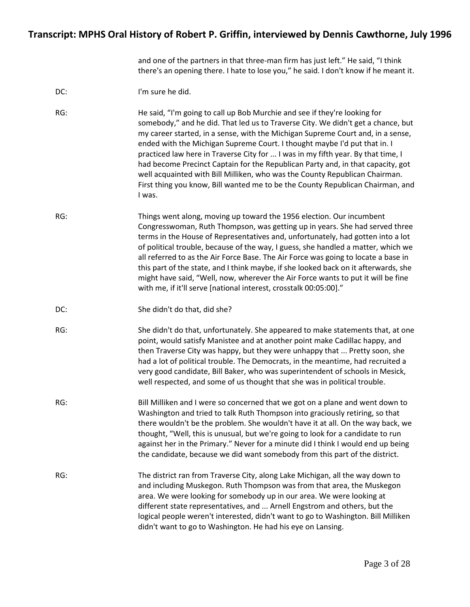and one of the partners in that three-man firm has just left." He said, "I think there's an opening there. I hate to lose you," he said. I don't know if he meant it.

| I'm sure he did. |
|------------------|
|                  |

RG: He said, "I'm going to call up Bob Murchie and see if they're looking for somebody," and he did. That led us to Traverse City. We didn't get a chance, but my career started, in a sense, with the Michigan Supreme Court and, in a sense, ended with the Michigan Supreme Court. I thought maybe I'd put that in. I practiced law here in Traverse City for ... I was in my fifth year. By that time, I had become Precinct Captain for the Republican Party and, in that capacity, got well acquainted with Bill Milliken, who was the County Republican Chairman. First thing you know, Bill wanted me to be the County Republican Chairman, and I was.

- RG: Things went along, moving up toward the 1956 election. Our incumbent Congresswoman, Ruth Thompson, was getting up in years. She had served three terms in the House of Representatives and, unfortunately, had gotten into a lot of political trouble, because of the way, I guess, she handled a matter, which we all referred to as the Air Force Base. The Air Force was going to locate a base in this part of the state, and I think maybe, if she looked back on it afterwards, she might have said, "Well, now, wherever the Air Force wants to put it will be fine with me, if it'll serve [national interest, crosstalk 00:05:00]."
- DC: She didn't do that, did she?
- RG: She didn't do that, unfortunately. She appeared to make statements that, at one point, would satisfy Manistee and at another point make Cadillac happy, and then Traverse City was happy, but they were unhappy that ... Pretty soon, she had a lot of political trouble. The Democrats, in the meantime, had recruited a very good candidate, Bill Baker, who was superintendent of schools in Mesick, well respected, and some of us thought that she was in political trouble.
- RG: Bill Milliken and I were so concerned that we got on a plane and went down to Washington and tried to talk Ruth Thompson into graciously retiring, so that there wouldn't be the problem. She wouldn't have it at all. On the way back, we thought, "Well, this is unusual, but we're going to look for a candidate to run against her in the Primary." Never for a minute did I think I would end up being the candidate, because we did want somebody from this part of the district.
- RG: The district ran from Traverse City, along Lake Michigan, all the way down to and including Muskegon. Ruth Thompson was from that area, the Muskegon area. We were looking for somebody up in our area. We were looking at different state representatives, and ... Arnell Engstrom and others, but the logical people weren't interested, didn't want to go to Washington. Bill Milliken didn't want to go to Washington. He had his eye on Lansing.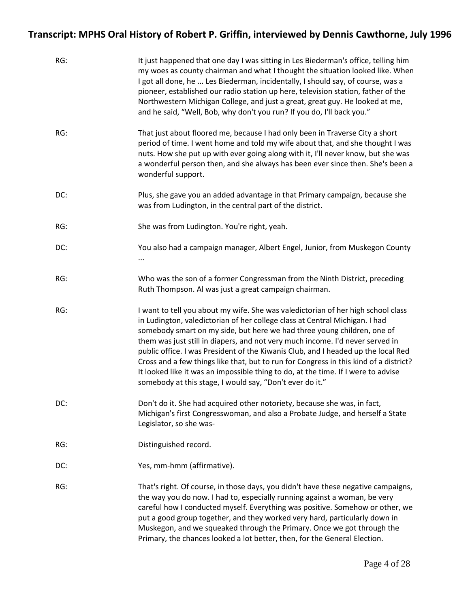| RG: | It just happened that one day I was sitting in Les Biederman's office, telling him<br>my woes as county chairman and what I thought the situation looked like. When<br>I got all done, he  Les Biederman, incidentally, I should say, of course, was a<br>pioneer, established our radio station up here, television station, father of the<br>Northwestern Michigan College, and just a great, great guy. He looked at me,<br>and he said, "Well, Bob, why don't you run? If you do, I'll back you."                                                                                                                                                      |
|-----|------------------------------------------------------------------------------------------------------------------------------------------------------------------------------------------------------------------------------------------------------------------------------------------------------------------------------------------------------------------------------------------------------------------------------------------------------------------------------------------------------------------------------------------------------------------------------------------------------------------------------------------------------------|
| RG: | That just about floored me, because I had only been in Traverse City a short<br>period of time. I went home and told my wife about that, and she thought I was<br>nuts. How she put up with ever going along with it, I'll never know, but she was<br>a wonderful person then, and she always has been ever since then. She's been a<br>wonderful support.                                                                                                                                                                                                                                                                                                 |
| DC: | Plus, she gave you an added advantage in that Primary campaign, because she<br>was from Ludington, in the central part of the district.                                                                                                                                                                                                                                                                                                                                                                                                                                                                                                                    |
| RG: | She was from Ludington. You're right, yeah.                                                                                                                                                                                                                                                                                                                                                                                                                                                                                                                                                                                                                |
| DC: | You also had a campaign manager, Albert Engel, Junior, from Muskegon County                                                                                                                                                                                                                                                                                                                                                                                                                                                                                                                                                                                |
| RG: | Who was the son of a former Congressman from the Ninth District, preceding<br>Ruth Thompson. Al was just a great campaign chairman.                                                                                                                                                                                                                                                                                                                                                                                                                                                                                                                        |
| RG: | I want to tell you about my wife. She was valedictorian of her high school class<br>in Ludington, valedictorian of her college class at Central Michigan. I had<br>somebody smart on my side, but here we had three young children, one of<br>them was just still in diapers, and not very much income. I'd never served in<br>public office. I was President of the Kiwanis Club, and I headed up the local Red<br>Cross and a few things like that, but to run for Congress in this kind of a district?<br>It looked like it was an impossible thing to do, at the time. If I were to advise<br>somebody at this stage, I would say, "Don't ever do it." |
| DC: | Don't do it. She had acquired other notoriety, because she was, in fact,<br>Michigan's first Congresswoman, and also a Probate Judge, and herself a State<br>Legislator, so she was-                                                                                                                                                                                                                                                                                                                                                                                                                                                                       |
| RG: | Distinguished record.                                                                                                                                                                                                                                                                                                                                                                                                                                                                                                                                                                                                                                      |
| DC: | Yes, mm-hmm (affirmative).                                                                                                                                                                                                                                                                                                                                                                                                                                                                                                                                                                                                                                 |
| RG: | That's right. Of course, in those days, you didn't have these negative campaigns,<br>the way you do now. I had to, especially running against a woman, be very<br>careful how I conducted myself. Everything was positive. Somehow or other, we<br>put a good group together, and they worked very hard, particularly down in<br>Muskegon, and we squeaked through the Primary. Once we got through the<br>Primary, the chances looked a lot better, then, for the General Election.                                                                                                                                                                       |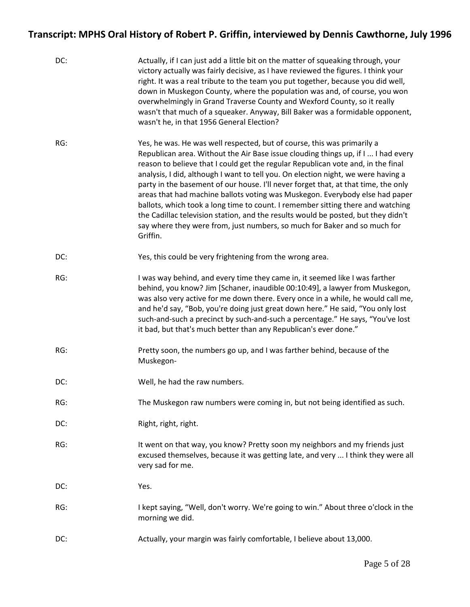| DC: | Actually, if I can just add a little bit on the matter of squeaking through, your<br>victory actually was fairly decisive, as I have reviewed the figures. I think your<br>right. It was a real tribute to the team you put together, because you did well,<br>down in Muskegon County, where the population was and, of course, you won<br>overwhelmingly in Grand Traverse County and Wexford County, so it really<br>wasn't that much of a squeaker. Anyway, Bill Baker was a formidable opponent,<br>wasn't he, in that 1956 General Election?                                                                                                                                                                                                                           |
|-----|------------------------------------------------------------------------------------------------------------------------------------------------------------------------------------------------------------------------------------------------------------------------------------------------------------------------------------------------------------------------------------------------------------------------------------------------------------------------------------------------------------------------------------------------------------------------------------------------------------------------------------------------------------------------------------------------------------------------------------------------------------------------------|
| RG: | Yes, he was. He was well respected, but of course, this was primarily a<br>Republican area. Without the Air Base issue clouding things up, if I  I had every<br>reason to believe that I could get the regular Republican vote and, in the final<br>analysis, I did, although I want to tell you. On election night, we were having a<br>party in the basement of our house. I'll never forget that, at that time, the only<br>areas that had machine ballots voting was Muskegon. Everybody else had paper<br>ballots, which took a long time to count. I remember sitting there and watching<br>the Cadillac television station, and the results would be posted, but they didn't<br>say where they were from, just numbers, so much for Baker and so much for<br>Griffin. |
| DC: | Yes, this could be very frightening from the wrong area.                                                                                                                                                                                                                                                                                                                                                                                                                                                                                                                                                                                                                                                                                                                     |
| RG: | I was way behind, and every time they came in, it seemed like I was farther<br>behind, you know? Jim [Schaner, inaudible 00:10:49], a lawyer from Muskegon,<br>was also very active for me down there. Every once in a while, he would call me,<br>and he'd say, "Bob, you're doing just great down here." He said, "You only lost<br>such-and-such a precinct by such-and-such a percentage." He says, "You've lost<br>it bad, but that's much better than any Republican's ever done."                                                                                                                                                                                                                                                                                     |
| RG: | Pretty soon, the numbers go up, and I was farther behind, because of the<br>Muskegon-                                                                                                                                                                                                                                                                                                                                                                                                                                                                                                                                                                                                                                                                                        |
| DC: | Well, he had the raw numbers.                                                                                                                                                                                                                                                                                                                                                                                                                                                                                                                                                                                                                                                                                                                                                |
| RG: | The Muskegon raw numbers were coming in, but not being identified as such.                                                                                                                                                                                                                                                                                                                                                                                                                                                                                                                                                                                                                                                                                                   |
| DC: | Right, right, right.                                                                                                                                                                                                                                                                                                                                                                                                                                                                                                                                                                                                                                                                                                                                                         |
| RG: | It went on that way, you know? Pretty soon my neighbors and my friends just<br>excused themselves, because it was getting late, and very  I think they were all<br>very sad for me.                                                                                                                                                                                                                                                                                                                                                                                                                                                                                                                                                                                          |
| DC: | Yes.                                                                                                                                                                                                                                                                                                                                                                                                                                                                                                                                                                                                                                                                                                                                                                         |
| RG: | I kept saying, "Well, don't worry. We're going to win." About three o'clock in the<br>morning we did.                                                                                                                                                                                                                                                                                                                                                                                                                                                                                                                                                                                                                                                                        |
| DC: | Actually, your margin was fairly comfortable, I believe about 13,000.                                                                                                                                                                                                                                                                                                                                                                                                                                                                                                                                                                                                                                                                                                        |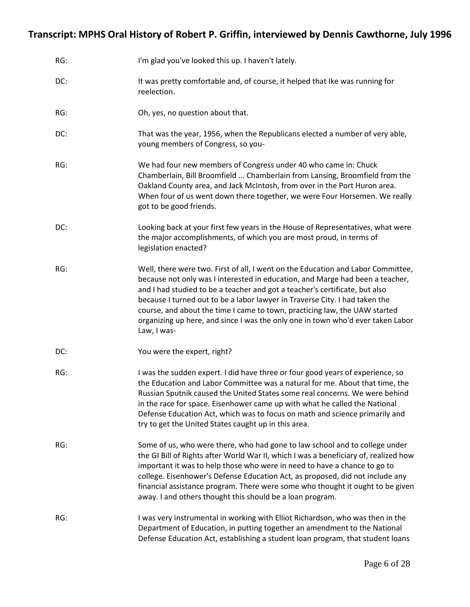| RG: | I'm glad you've looked this up. I haven't lately.                                                                                                                                                                                                                                                                                                                                                                                                                                                               |
|-----|-----------------------------------------------------------------------------------------------------------------------------------------------------------------------------------------------------------------------------------------------------------------------------------------------------------------------------------------------------------------------------------------------------------------------------------------------------------------------------------------------------------------|
| DC: | It was pretty comfortable and, of course, it helped that Ike was running for<br>reelection.                                                                                                                                                                                                                                                                                                                                                                                                                     |
| RG: | Oh, yes, no question about that.                                                                                                                                                                                                                                                                                                                                                                                                                                                                                |
| DC: | That was the year, 1956, when the Republicans elected a number of very able,<br>young members of Congress, so you-                                                                                                                                                                                                                                                                                                                                                                                              |
| RG: | We had four new members of Congress under 40 who came in: Chuck<br>Chamberlain, Bill Broomfield  Chamberlain from Lansing, Broomfield from the<br>Oakland County area, and Jack McIntosh, from over in the Port Huron area.<br>When four of us went down there together, we were Four Horsemen. We really<br>got to be good friends.                                                                                                                                                                            |
| DC: | Looking back at your first few years in the House of Representatives, what were<br>the major accomplishments, of which you are most proud, in terms of<br>legislation enacted?                                                                                                                                                                                                                                                                                                                                  |
| RG: | Well, there were two. First of all, I went on the Education and Labor Committee,<br>because not only was I interested in education, and Marge had been a teacher,<br>and I had studied to be a teacher and got a teacher's certificate, but also<br>because I turned out to be a labor lawyer in Traverse City. I had taken the<br>course, and about the time I came to town, practicing law, the UAW started<br>organizing up here, and since I was the only one in town who'd ever taken Labor<br>Law, I was- |
| DC: | You were the expert, right?                                                                                                                                                                                                                                                                                                                                                                                                                                                                                     |
| RG: | I was the sudden expert. I did have three or four good years of experience, so<br>the Education and Labor Committee was a natural for me. About that time, the<br>Russian Sputnik caused the United States some real concerns. We were behind<br>in the race for space. Eisenhower came up with what he called the National<br>Defense Education Act, which was to focus on math and science primarily and<br>try to get the United States caught up in this area.                                              |
| RG: | Some of us, who were there, who had gone to law school and to college under<br>the GI Bill of Rights after World War II, which I was a beneficiary of, realized how<br>important it was to help those who were in need to have a chance to go to<br>college. Eisenhower's Defense Education Act, as proposed, did not include any<br>financial assistance program. There were some who thought it ought to be given<br>away. I and others thought this should be a loan program.                                |
| RG: | I was very instrumental in working with Elliot Richardson, who was then in the<br>Department of Education, in putting together an amendment to the National<br>Defense Education Act, establishing a student loan program, that student loans                                                                                                                                                                                                                                                                   |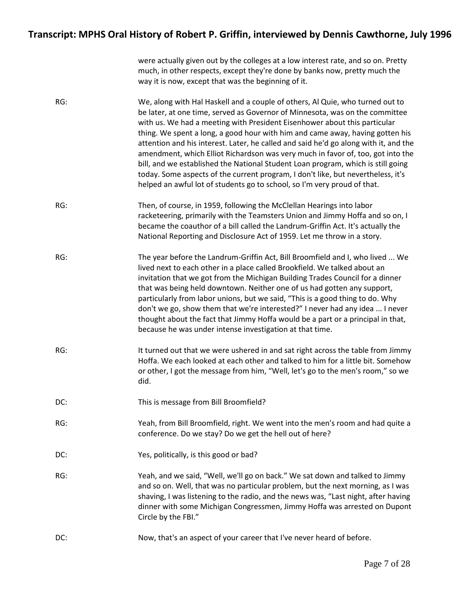|     | were actually given out by the colleges at a low interest rate, and so on. Pretty<br>much, in other respects, except they're done by banks now, pretty much the<br>way it is now, except that was the beginning of it.                                                                                                                                                                                                                                                                                                                                                                                                                                                                                                                                     |
|-----|------------------------------------------------------------------------------------------------------------------------------------------------------------------------------------------------------------------------------------------------------------------------------------------------------------------------------------------------------------------------------------------------------------------------------------------------------------------------------------------------------------------------------------------------------------------------------------------------------------------------------------------------------------------------------------------------------------------------------------------------------------|
| RG: | We, along with Hal Haskell and a couple of others, Al Quie, who turned out to<br>be later, at one time, served as Governor of Minnesota, was on the committee<br>with us. We had a meeting with President Eisenhower about this particular<br>thing. We spent a long, a good hour with him and came away, having gotten his<br>attention and his interest. Later, he called and said he'd go along with it, and the<br>amendment, which Elliot Richardson was very much in favor of, too, got into the<br>bill, and we established the National Student Loan program, which is still going<br>today. Some aspects of the current program, I don't like, but nevertheless, it's<br>helped an awful lot of students go to school, so I'm very proud of that. |
| RG: | Then, of course, in 1959, following the McClellan Hearings into labor<br>racketeering, primarily with the Teamsters Union and Jimmy Hoffa and so on, I<br>became the coauthor of a bill called the Landrum-Griffin Act. It's actually the<br>National Reporting and Disclosure Act of 1959. Let me throw in a story.                                                                                                                                                                                                                                                                                                                                                                                                                                       |
| RG: | The year before the Landrum-Griffin Act, Bill Broomfield and I, who lived  We<br>lived next to each other in a place called Brookfield. We talked about an<br>invitation that we got from the Michigan Building Trades Council for a dinner<br>that was being held downtown. Neither one of us had gotten any support,<br>particularly from labor unions, but we said, "This is a good thing to do. Why<br>don't we go, show them that we're interested?" I never had any idea  I never<br>thought about the fact that Jimmy Hoffa would be a part or a principal in that,<br>because he was under intense investigation at that time.                                                                                                                     |
| RG: | It turned out that we were ushered in and sat right across the table from Jimmy<br>Hoffa. We each looked at each other and talked to him for a little bit. Somehow<br>or other, I got the message from him, "Well, let's go to the men's room," so we<br>did.                                                                                                                                                                                                                                                                                                                                                                                                                                                                                              |
| DC: | This is message from Bill Broomfield?                                                                                                                                                                                                                                                                                                                                                                                                                                                                                                                                                                                                                                                                                                                      |
| RG: | Yeah, from Bill Broomfield, right. We went into the men's room and had quite a<br>conference. Do we stay? Do we get the hell out of here?                                                                                                                                                                                                                                                                                                                                                                                                                                                                                                                                                                                                                  |
| DC: | Yes, politically, is this good or bad?                                                                                                                                                                                                                                                                                                                                                                                                                                                                                                                                                                                                                                                                                                                     |
| RG: | Yeah, and we said, "Well, we'll go on back." We sat down and talked to Jimmy<br>and so on. Well, that was no particular problem, but the next morning, as I was<br>shaving, I was listening to the radio, and the news was, "Last night, after having<br>dinner with some Michigan Congressmen, Jimmy Hoffa was arrested on Dupont<br>Circle by the FBI."                                                                                                                                                                                                                                                                                                                                                                                                  |
| DC: | Now, that's an aspect of your career that I've never heard of before.                                                                                                                                                                                                                                                                                                                                                                                                                                                                                                                                                                                                                                                                                      |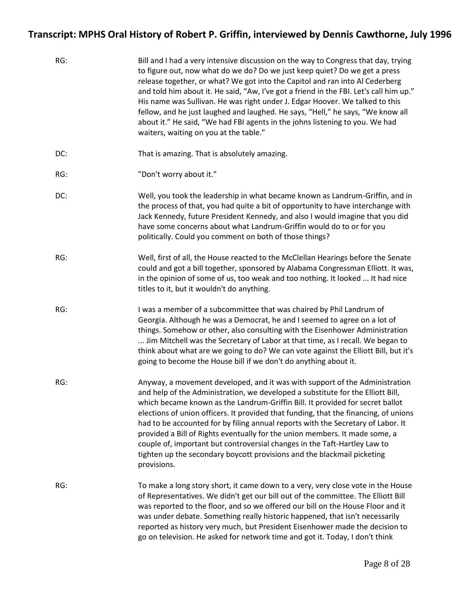| RG: | Bill and I had a very intensive discussion on the way to Congress that day, trying<br>to figure out, now what do we do? Do we just keep quiet? Do we get a press<br>release together, or what? We got into the Capitol and ran into Al Cederberg<br>and told him about it. He said, "Aw, I've got a friend in the FBI. Let's call him up."<br>His name was Sullivan. He was right under J. Edgar Hoover. We talked to this<br>fellow, and he just laughed and laughed. He says, "Hell," he says, "We know all<br>about it." He said, "We had FBI agents in the johns listening to you. We had<br>waiters, waiting on you at the table."                                           |
|-----|-----------------------------------------------------------------------------------------------------------------------------------------------------------------------------------------------------------------------------------------------------------------------------------------------------------------------------------------------------------------------------------------------------------------------------------------------------------------------------------------------------------------------------------------------------------------------------------------------------------------------------------------------------------------------------------|
| DC: | That is amazing. That is absolutely amazing.                                                                                                                                                                                                                                                                                                                                                                                                                                                                                                                                                                                                                                      |
| RG: | "Don't worry about it."                                                                                                                                                                                                                                                                                                                                                                                                                                                                                                                                                                                                                                                           |
| DC: | Well, you took the leadership in what became known as Landrum-Griffin, and in<br>the process of that, you had quite a bit of opportunity to have interchange with<br>Jack Kennedy, future President Kennedy, and also I would imagine that you did<br>have some concerns about what Landrum-Griffin would do to or for you<br>politically. Could you comment on both of those things?                                                                                                                                                                                                                                                                                             |
| RG: | Well, first of all, the House reacted to the McClellan Hearings before the Senate<br>could and got a bill together, sponsored by Alabama Congressman Elliott. It was,<br>in the opinion of some of us, too weak and too nothing. It looked  It had nice<br>titles to it, but it wouldn't do anything.                                                                                                                                                                                                                                                                                                                                                                             |
| RG: | I was a member of a subcommittee that was chaired by Phil Landrum of<br>Georgia. Although he was a Democrat, he and I seemed to agree on a lot of<br>things. Somehow or other, also consulting with the Eisenhower Administration<br>Jim Mitchell was the Secretary of Labor at that time, as I recall. We began to<br>think about what are we going to do? We can vote against the Elliott Bill, but it's<br>going to become the House bill if we don't do anything about it.                                                                                                                                                                                                    |
| RG: | Anyway, a movement developed, and it was with support of the Administration<br>and help of the Administration, we developed a substitute for the Elliott Bill,<br>which became known as the Landrum-Griffin Bill. It provided for secret ballot<br>elections of union officers. It provided that funding, that the financing, of unions<br>had to be accounted for by filing annual reports with the Secretary of Labor. It<br>provided a Bill of Rights eventually for the union members. It made some, a<br>couple of, important but controversial changes in the Taft-Hartley Law to<br>tighten up the secondary boycott provisions and the blackmail picketing<br>provisions. |
| RG: | To make a long story short, it came down to a very, very close vote in the House<br>of Representatives. We didn't get our bill out of the committee. The Elliott Bill<br>was reported to the floor, and so we offered our bill on the House Floor and it<br>was under debate. Something really historic happened, that isn't necessarily<br>reported as history very much, but President Eisenhower made the decision to<br>go on television. He asked for network time and got it. Today, I don't think                                                                                                                                                                          |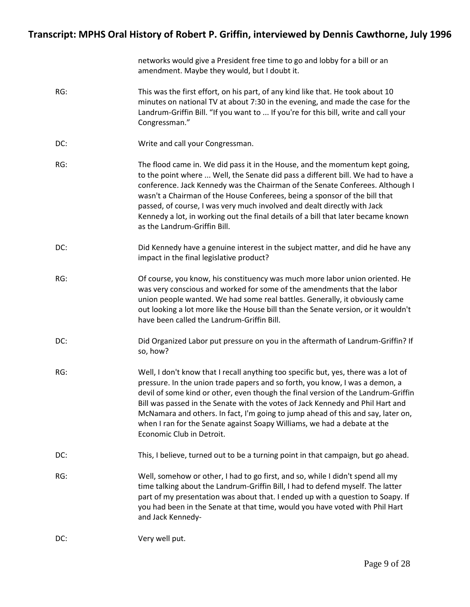|     | networks would give a President free time to go and lobby for a bill or an<br>amendment. Maybe they would, but I doubt it.                                                                                                                                                                                                                                                                                                                                                                                                              |
|-----|-----------------------------------------------------------------------------------------------------------------------------------------------------------------------------------------------------------------------------------------------------------------------------------------------------------------------------------------------------------------------------------------------------------------------------------------------------------------------------------------------------------------------------------------|
| RG: | This was the first effort, on his part, of any kind like that. He took about 10<br>minutes on national TV at about 7:30 in the evening, and made the case for the<br>Landrum-Griffin Bill. "If you want to  If you're for this bill, write and call your<br>Congressman."                                                                                                                                                                                                                                                               |
| DC: | Write and call your Congressman.                                                                                                                                                                                                                                                                                                                                                                                                                                                                                                        |
| RG: | The flood came in. We did pass it in the House, and the momentum kept going,<br>to the point where  Well, the Senate did pass a different bill. We had to have a<br>conference. Jack Kennedy was the Chairman of the Senate Conferees. Although I<br>wasn't a Chairman of the House Conferees, being a sponsor of the bill that<br>passed, of course, I was very much involved and dealt directly with Jack<br>Kennedy a lot, in working out the final details of a bill that later became known<br>as the Landrum-Griffin Bill.        |
| DC: | Did Kennedy have a genuine interest in the subject matter, and did he have any<br>impact in the final legislative product?                                                                                                                                                                                                                                                                                                                                                                                                              |
| RG: | Of course, you know, his constituency was much more labor union oriented. He<br>was very conscious and worked for some of the amendments that the labor<br>union people wanted. We had some real battles. Generally, it obviously came<br>out looking a lot more like the House bill than the Senate version, or it wouldn't<br>have been called the Landrum-Griffin Bill.                                                                                                                                                              |
| DC: | Did Organized Labor put pressure on you in the aftermath of Landrum-Griffin? If<br>so, how?                                                                                                                                                                                                                                                                                                                                                                                                                                             |
| RG: | Well, I don't know that I recall anything too specific but, yes, there was a lot of<br>pressure. In the union trade papers and so forth, you know, I was a demon, a<br>devil of some kind or other, even though the final version of the Landrum-Griffin<br>Bill was passed in the Senate with the votes of Jack Kennedy and Phil Hart and<br>McNamara and others. In fact, I'm going to jump ahead of this and say, later on,<br>when I ran for the Senate against Soapy Williams, we had a debate at the<br>Economic Club in Detroit. |
| DC: | This, I believe, turned out to be a turning point in that campaign, but go ahead.                                                                                                                                                                                                                                                                                                                                                                                                                                                       |
| RG: | Well, somehow or other, I had to go first, and so, while I didn't spend all my<br>time talking about the Landrum-Griffin Bill, I had to defend myself. The latter<br>part of my presentation was about that. I ended up with a question to Soapy. If<br>you had been in the Senate at that time, would you have voted with Phil Hart<br>and Jack Kennedy-                                                                                                                                                                               |
| DC: | Very well put.                                                                                                                                                                                                                                                                                                                                                                                                                                                                                                                          |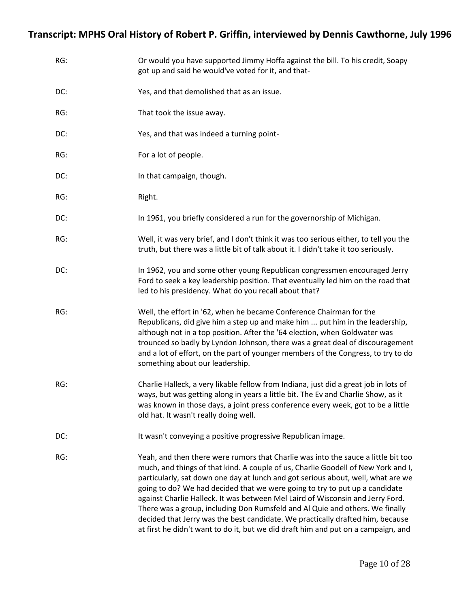| RG: | Or would you have supported Jimmy Hoffa against the bill. To his credit, Soapy<br>got up and said he would've voted for it, and that-                                                                                                                                                                                                                                                                                                                                                                                                                                                                                                                                              |
|-----|------------------------------------------------------------------------------------------------------------------------------------------------------------------------------------------------------------------------------------------------------------------------------------------------------------------------------------------------------------------------------------------------------------------------------------------------------------------------------------------------------------------------------------------------------------------------------------------------------------------------------------------------------------------------------------|
| DC: | Yes, and that demolished that as an issue.                                                                                                                                                                                                                                                                                                                                                                                                                                                                                                                                                                                                                                         |
| RG: | That took the issue away.                                                                                                                                                                                                                                                                                                                                                                                                                                                                                                                                                                                                                                                          |
| DC: | Yes, and that was indeed a turning point-                                                                                                                                                                                                                                                                                                                                                                                                                                                                                                                                                                                                                                          |
| RG: | For a lot of people.                                                                                                                                                                                                                                                                                                                                                                                                                                                                                                                                                                                                                                                               |
| DC: | In that campaign, though.                                                                                                                                                                                                                                                                                                                                                                                                                                                                                                                                                                                                                                                          |
| RG: | Right.                                                                                                                                                                                                                                                                                                                                                                                                                                                                                                                                                                                                                                                                             |
| DC: | In 1961, you briefly considered a run for the governorship of Michigan.                                                                                                                                                                                                                                                                                                                                                                                                                                                                                                                                                                                                            |
| RG: | Well, it was very brief, and I don't think it was too serious either, to tell you the<br>truth, but there was a little bit of talk about it. I didn't take it too seriously.                                                                                                                                                                                                                                                                                                                                                                                                                                                                                                       |
| DC: | In 1962, you and some other young Republican congressmen encouraged Jerry<br>Ford to seek a key leadership position. That eventually led him on the road that<br>led to his presidency. What do you recall about that?                                                                                                                                                                                                                                                                                                                                                                                                                                                             |
| RG: | Well, the effort in '62, when he became Conference Chairman for the<br>Republicans, did give him a step up and make him  put him in the leadership,<br>although not in a top position. After the '64 election, when Goldwater was<br>trounced so badly by Lyndon Johnson, there was a great deal of discouragement<br>and a lot of effort, on the part of younger members of the Congress, to try to do<br>something about our leadership.                                                                                                                                                                                                                                         |
| RG: | Charlie Halleck, a very likable fellow from Indiana, just did a great job in lots of<br>ways, but was getting along in years a little bit. The Ey and Charlie Show, as it<br>was known in those days, a joint press conference every week, got to be a little<br>old hat. It wasn't really doing well.                                                                                                                                                                                                                                                                                                                                                                             |
| DC: | It wasn't conveying a positive progressive Republican image.                                                                                                                                                                                                                                                                                                                                                                                                                                                                                                                                                                                                                       |
| RG: | Yeah, and then there were rumors that Charlie was into the sauce a little bit too<br>much, and things of that kind. A couple of us, Charlie Goodell of New York and I,<br>particularly, sat down one day at lunch and got serious about, well, what are we<br>going to do? We had decided that we were going to try to put up a candidate<br>against Charlie Halleck. It was between Mel Laird of Wisconsin and Jerry Ford.<br>There was a group, including Don Rumsfeld and Al Quie and others. We finally<br>decided that Jerry was the best candidate. We practically drafted him, because<br>at first he didn't want to do it, but we did draft him and put on a campaign, and |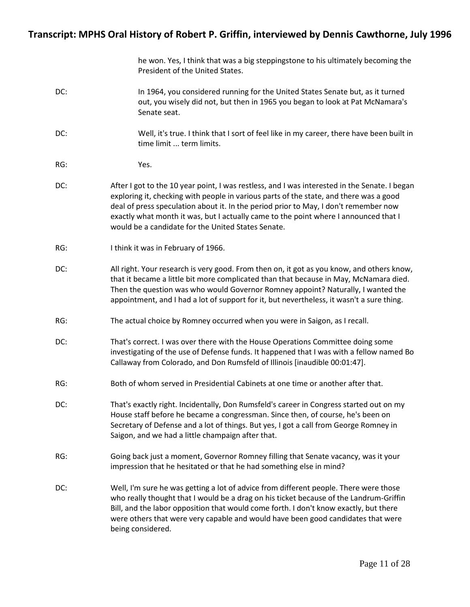|     | he won. Yes, I think that was a big steppingstone to his ultimately becoming the<br>President of the United States.                                                                                                                                                                                                                                                                                                           |
|-----|-------------------------------------------------------------------------------------------------------------------------------------------------------------------------------------------------------------------------------------------------------------------------------------------------------------------------------------------------------------------------------------------------------------------------------|
| DC: | In 1964, you considered running for the United States Senate but, as it turned<br>out, you wisely did not, but then in 1965 you began to look at Pat McNamara's<br>Senate seat.                                                                                                                                                                                                                                               |
| DC: | Well, it's true. I think that I sort of feel like in my career, there have been built in<br>time limit  term limits.                                                                                                                                                                                                                                                                                                          |
| RG: | Yes.                                                                                                                                                                                                                                                                                                                                                                                                                          |
| DC: | After I got to the 10 year point, I was restless, and I was interested in the Senate. I began<br>exploring it, checking with people in various parts of the state, and there was a good<br>deal of press speculation about it. In the period prior to May, I don't remember now<br>exactly what month it was, but I actually came to the point where I announced that I<br>would be a candidate for the United States Senate. |
| RG: | I think it was in February of 1966.                                                                                                                                                                                                                                                                                                                                                                                           |
| DC: | All right. Your research is very good. From then on, it got as you know, and others know,<br>that it became a little bit more complicated than that because in May, McNamara died.<br>Then the question was who would Governor Romney appoint? Naturally, I wanted the<br>appointment, and I had a lot of support for it, but nevertheless, it wasn't a sure thing.                                                           |
| RG: | The actual choice by Romney occurred when you were in Saigon, as I recall.                                                                                                                                                                                                                                                                                                                                                    |
| DC: | That's correct. I was over there with the House Operations Committee doing some<br>investigating of the use of Defense funds. It happened that I was with a fellow named Bo<br>Callaway from Colorado, and Don Rumsfeld of Illinois [inaudible 00:01:47].                                                                                                                                                                     |
| RG: | Both of whom served in Presidential Cabinets at one time or another after that.                                                                                                                                                                                                                                                                                                                                               |
| DC: | That's exactly right. Incidentally, Don Rumsfeld's career in Congress started out on my<br>House staff before he became a congressman. Since then, of course, he's been on<br>Secretary of Defense and a lot of things. But yes, I got a call from George Romney in<br>Saigon, and we had a little champaign after that.                                                                                                      |
| RG: | Going back just a moment, Governor Romney filling that Senate vacancy, was it your<br>impression that he hesitated or that he had something else in mind?                                                                                                                                                                                                                                                                     |
| DC: | Well, I'm sure he was getting a lot of advice from different people. There were those<br>who really thought that I would be a drag on his ticket because of the Landrum-Griffin<br>Bill, and the labor opposition that would come forth. I don't know exactly, but there<br>were others that were very capable and would have been good candidates that were<br>being considered.                                             |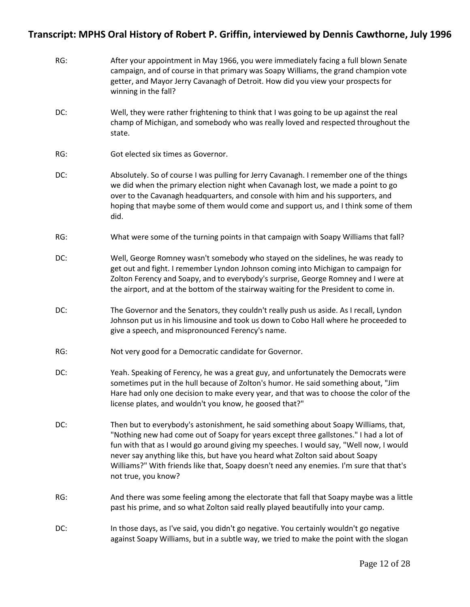| RG: | After your appointment in May 1966, you were immediately facing a full blown Senate<br>campaign, and of course in that primary was Soapy Williams, the grand champion vote<br>getter, and Mayor Jerry Cavanagh of Detroit. How did you view your prospects for<br>winning in the fall?                                                                                                                                                                                    |
|-----|---------------------------------------------------------------------------------------------------------------------------------------------------------------------------------------------------------------------------------------------------------------------------------------------------------------------------------------------------------------------------------------------------------------------------------------------------------------------------|
| DC: | Well, they were rather frightening to think that I was going to be up against the real<br>champ of Michigan, and somebody who was really loved and respected throughout the<br>state.                                                                                                                                                                                                                                                                                     |
| RG: | Got elected six times as Governor.                                                                                                                                                                                                                                                                                                                                                                                                                                        |
| DC: | Absolutely. So of course I was pulling for Jerry Cavanagh. I remember one of the things<br>we did when the primary election night when Cavanagh lost, we made a point to go<br>over to the Cavanagh headquarters, and console with him and his supporters, and<br>hoping that maybe some of them would come and support us, and I think some of them<br>did.                                                                                                              |
| RG: | What were some of the turning points in that campaign with Soapy Williams that fall?                                                                                                                                                                                                                                                                                                                                                                                      |
| DC: | Well, George Romney wasn't somebody who stayed on the sidelines, he was ready to<br>get out and fight. I remember Lyndon Johnson coming into Michigan to campaign for<br>Zolton Ferency and Soapy, and to everybody's surprise, George Romney and I were at<br>the airport, and at the bottom of the stairway waiting for the President to come in.                                                                                                                       |
| DC: | The Governor and the Senators, they couldn't really push us aside. As I recall, Lyndon<br>Johnson put us in his limousine and took us down to Cobo Hall where he proceeded to<br>give a speech, and mispronounced Ferency's name.                                                                                                                                                                                                                                         |
| RG: | Not very good for a Democratic candidate for Governor.                                                                                                                                                                                                                                                                                                                                                                                                                    |
| DC: | Yeah. Speaking of Ferency, he was a great guy, and unfortunately the Democrats were<br>sometimes put in the hull because of Zolton's humor. He said something about, "Jim<br>Hare had only one decision to make every year, and that was to choose the color of the<br>license plates, and wouldn't you know, he goosed that?"                                                                                                                                            |
| DC: | Then but to everybody's astonishment, he said something about Soapy Williams, that,<br>"Nothing new had come out of Soapy for years except three gallstones." I had a lot of<br>fun with that as I would go around giving my speeches. I would say, "Well now, I would<br>never say anything like this, but have you heard what Zolton said about Soapy<br>Williams?" With friends like that, Soapy doesn't need any enemies. I'm sure that that's<br>not true, you know? |
| RG: | And there was some feeling among the electorate that fall that Soapy maybe was a little<br>past his prime, and so what Zolton said really played beautifully into your camp.                                                                                                                                                                                                                                                                                              |
| DC: | In those days, as I've said, you didn't go negative. You certainly wouldn't go negative<br>against Soapy Williams, but in a subtle way, we tried to make the point with the slogan                                                                                                                                                                                                                                                                                        |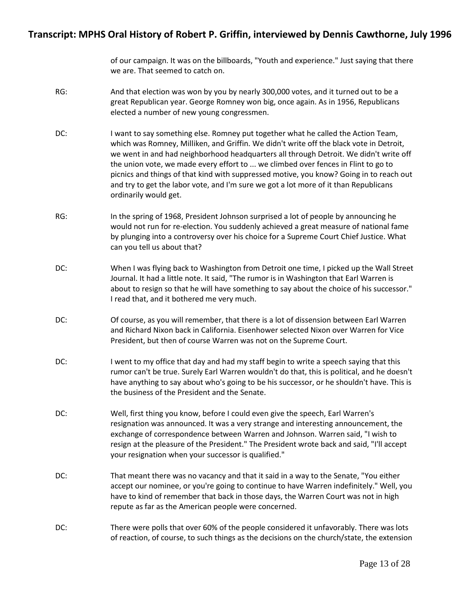of our campaign. It was on the billboards, "Youth and experience." Just saying that there we are. That seemed to catch on.

- RG: And that election was won by you by nearly 300,000 votes, and it turned out to be a great Republican year. George Romney won big, once again. As in 1956, Republicans elected a number of new young congressmen.
- DC: I want to say something else. Romney put together what he called the Action Team, which was Romney, Milliken, and Griffin. We didn't write off the black vote in Detroit, we went in and had neighborhood headquarters all through Detroit. We didn't write off the union vote, we made every effort to ... we climbed over fences in Flint to go to picnics and things of that kind with suppressed motive, you know? Going in to reach out and try to get the labor vote, and I'm sure we got a lot more of it than Republicans ordinarily would get.
- RG: In the spring of 1968, President Johnson surprised a lot of people by announcing he would not run for re-election. You suddenly achieved a great measure of national fame by plunging into a controversy over his choice for a Supreme Court Chief Justice. What can you tell us about that?
- DC: When I was flying back to Washington from Detroit one time, I picked up the Wall Street Journal. It had a little note. It said, "The rumor is in Washington that Earl Warren is about to resign so that he will have something to say about the choice of his successor." I read that, and it bothered me very much.
- DC: Of course, as you will remember, that there is a lot of dissension between Earl Warren and Richard Nixon back in California. Eisenhower selected Nixon over Warren for Vice President, but then of course Warren was not on the Supreme Court.
- DC: I went to my office that day and had my staff begin to write a speech saying that this rumor can't be true. Surely Earl Warren wouldn't do that, this is political, and he doesn't have anything to say about who's going to be his successor, or he shouldn't have. This is the business of the President and the Senate.
- DC: Well, first thing you know, before I could even give the speech, Earl Warren's resignation was announced. It was a very strange and interesting announcement, the exchange of correspondence between Warren and Johnson. Warren said, "I wish to resign at the pleasure of the President." The President wrote back and said, "I'll accept your resignation when your successor is qualified."
- DC: That meant there was no vacancy and that it said in a way to the Senate, "You either accept our nominee, or you're going to continue to have Warren indefinitely." Well, you have to kind of remember that back in those days, the Warren Court was not in high repute as far as the American people were concerned.
- DC: There were polls that over 60% of the people considered it unfavorably. There was lots of reaction, of course, to such things as the decisions on the church/state, the extension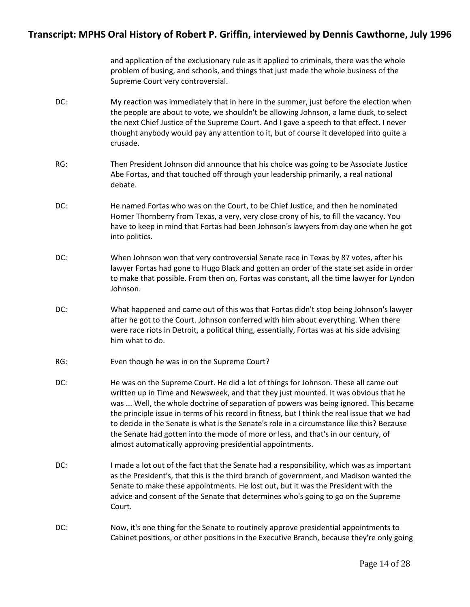and application of the exclusionary rule as it applied to criminals, there was the whole problem of busing, and schools, and things that just made the whole business of the Supreme Court very controversial.

- DC: My reaction was immediately that in here in the summer, just before the election when the people are about to vote, we shouldn't be allowing Johnson, a lame duck, to select the next Chief Justice of the Supreme Court. And I gave a speech to that effect. I never thought anybody would pay any attention to it, but of course it developed into quite a crusade.
- RG: Then President Johnson did announce that his choice was going to be Associate Justice Abe Fortas, and that touched off through your leadership primarily, a real national debate.
- DC: He named Fortas who was on the Court, to be Chief Justice, and then he nominated Homer Thornberry from Texas, a very, very close crony of his, to fill the vacancy. You have to keep in mind that Fortas had been Johnson's lawyers from day one when he got into politics.
- DC: When Johnson won that very controversial Senate race in Texas by 87 votes, after his lawyer Fortas had gone to Hugo Black and gotten an order of the state set aside in order to make that possible. From then on, Fortas was constant, all the time lawyer for Lyndon Johnson.
- DC: What happened and came out of this was that Fortas didn't stop being Johnson's lawyer after he got to the Court. Johnson conferred with him about everything. When there were race riots in Detroit, a political thing, essentially, Fortas was at his side advising him what to do.
- RG: Even though he was in on the Supreme Court?
- DC: He was on the Supreme Court. He did a lot of things for Johnson. These all came out written up in Time and Newsweek, and that they just mounted. It was obvious that he was ... Well, the whole doctrine of separation of powers was being ignored. This became the principle issue in terms of his record in fitness, but I think the real issue that we had to decide in the Senate is what is the Senate's role in a circumstance like this? Because the Senate had gotten into the mode of more or less, and that's in our century, of almost automatically approving presidential appointments.
- DC: I made a lot out of the fact that the Senate had a responsibility, which was as important as the President's, that this is the third branch of government, and Madison wanted the Senate to make these appointments. He lost out, but it was the President with the advice and consent of the Senate that determines who's going to go on the Supreme Court.
- DC: Now, it's one thing for the Senate to routinely approve presidential appointments to Cabinet positions, or other positions in the Executive Branch, because they're only going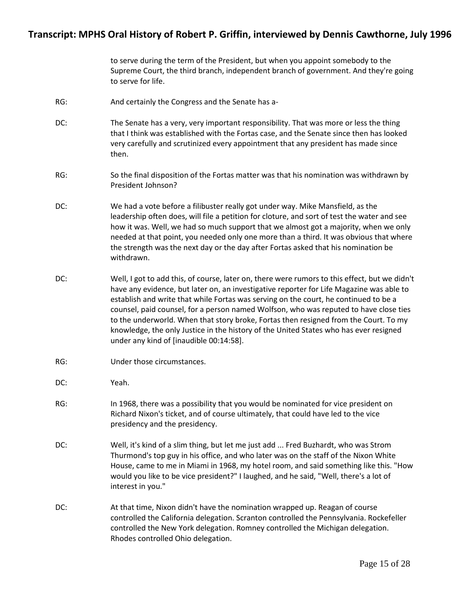to serve during the term of the President, but when you appoint somebody to the Supreme Court, the third branch, independent branch of government. And they're going to serve for life.

- RG: And certainly the Congress and the Senate has a-
- DC: The Senate has a very, very important responsibility. That was more or less the thing that I think was established with the Fortas case, and the Senate since then has looked very carefully and scrutinized every appointment that any president has made since then.
- RG: So the final disposition of the Fortas matter was that his nomination was withdrawn by President Johnson?
- DC: We had a vote before a filibuster really got under way. Mike Mansfield, as the leadership often does, will file a petition for cloture, and sort of test the water and see how it was. Well, we had so much support that we almost got a majority, when we only needed at that point, you needed only one more than a third. It was obvious that where the strength was the next day or the day after Fortas asked that his nomination be withdrawn.
- DC: Well, I got to add this, of course, later on, there were rumors to this effect, but we didn't have any evidence, but later on, an investigative reporter for Life Magazine was able to establish and write that while Fortas was serving on the court, he continued to be a counsel, paid counsel, for a person named Wolfson, who was reputed to have close ties to the underworld. When that story broke, Fortas then resigned from the Court. To my knowledge, the only Justice in the history of the United States who has ever resigned under any kind of [inaudible 00:14:58].
- RG: Under those circumstances.
- DC: Yeah.
- RG: In 1968, there was a possibility that you would be nominated for vice president on Richard Nixon's ticket, and of course ultimately, that could have led to the vice presidency and the presidency.
- DC: Well, it's kind of a slim thing, but let me just add ... Fred Buzhardt, who was Strom Thurmond's top guy in his office, and who later was on the staff of the Nixon White House, came to me in Miami in 1968, my hotel room, and said something like this. "How would you like to be vice president?" I laughed, and he said, "Well, there's a lot of interest in you."
- DC: At that time, Nixon didn't have the nomination wrapped up. Reagan of course controlled the California delegation. Scranton controlled the Pennsylvania. Rockefeller controlled the New York delegation. Romney controlled the Michigan delegation. Rhodes controlled Ohio delegation.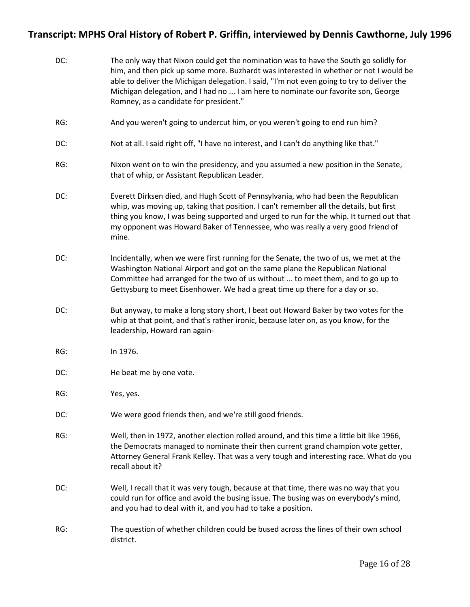| DC: | The only way that Nixon could get the nomination was to have the South go solidly for<br>him, and then pick up some more. Buzhardt was interested in whether or not I would be<br>able to deliver the Michigan delegation. I said, "I'm not even going to try to deliver the<br>Michigan delegation, and I had no  I am here to nominate our favorite son, George<br>Romney, as a candidate for president." |
|-----|-------------------------------------------------------------------------------------------------------------------------------------------------------------------------------------------------------------------------------------------------------------------------------------------------------------------------------------------------------------------------------------------------------------|
| RG: | And you weren't going to undercut him, or you weren't going to end run him?                                                                                                                                                                                                                                                                                                                                 |
| DC: | Not at all. I said right off, "I have no interest, and I can't do anything like that."                                                                                                                                                                                                                                                                                                                      |
| RG: | Nixon went on to win the presidency, and you assumed a new position in the Senate,<br>that of whip, or Assistant Republican Leader.                                                                                                                                                                                                                                                                         |
| DC: | Everett Dirksen died, and Hugh Scott of Pennsylvania, who had been the Republican<br>whip, was moving up, taking that position. I can't remember all the details, but first<br>thing you know, I was being supported and urged to run for the whip. It turned out that<br>my opponent was Howard Baker of Tennessee, who was really a very good friend of<br>mine.                                          |
| DC: | Incidentally, when we were first running for the Senate, the two of us, we met at the<br>Washington National Airport and got on the same plane the Republican National<br>Committee had arranged for the two of us without  to meet them, and to go up to<br>Gettysburg to meet Eisenhower. We had a great time up there for a day or so.                                                                   |
| DC: | But anyway, to make a long story short, I beat out Howard Baker by two votes for the<br>whip at that point, and that's rather ironic, because later on, as you know, for the<br>leadership, Howard ran again-                                                                                                                                                                                               |
| RG: | In 1976.                                                                                                                                                                                                                                                                                                                                                                                                    |
| DC: | He beat me by one vote.                                                                                                                                                                                                                                                                                                                                                                                     |
| RG: | Yes, yes.                                                                                                                                                                                                                                                                                                                                                                                                   |
| DC: | We were good friends then, and we're still good friends.                                                                                                                                                                                                                                                                                                                                                    |
| RG: | Well, then in 1972, another election rolled around, and this time a little bit like 1966,<br>the Democrats managed to nominate their then current grand champion vote getter,<br>Attorney General Frank Kelley. That was a very tough and interesting race. What do you<br>recall about it?                                                                                                                 |
| DC: | Well, I recall that it was very tough, because at that time, there was no way that you<br>could run for office and avoid the busing issue. The busing was on everybody's mind,<br>and you had to deal with it, and you had to take a position.                                                                                                                                                              |
| RG: | The question of whether children could be bused across the lines of their own school<br>district.                                                                                                                                                                                                                                                                                                           |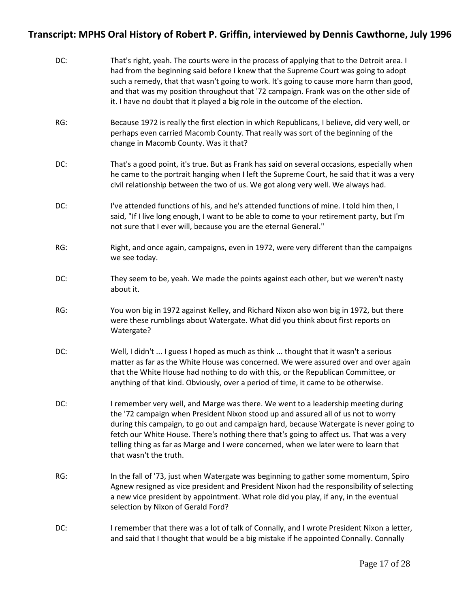| DC: | That's right, yeah. The courts were in the process of applying that to the Detroit area. I<br>had from the beginning said before I knew that the Supreme Court was going to adopt<br>such a remedy, that that wasn't going to work. It's going to cause more harm than good,<br>and that was my position throughout that '72 campaign. Frank was on the other side of<br>it. I have no doubt that it played a big role in the outcome of the election.                        |
|-----|-------------------------------------------------------------------------------------------------------------------------------------------------------------------------------------------------------------------------------------------------------------------------------------------------------------------------------------------------------------------------------------------------------------------------------------------------------------------------------|
| RG: | Because 1972 is really the first election in which Republicans, I believe, did very well, or<br>perhaps even carried Macomb County. That really was sort of the beginning of the<br>change in Macomb County. Was it that?                                                                                                                                                                                                                                                     |
| DC: | That's a good point, it's true. But as Frank has said on several occasions, especially when<br>he came to the portrait hanging when I left the Supreme Court, he said that it was a very<br>civil relationship between the two of us. We got along very well. We always had.                                                                                                                                                                                                  |
| DC: | I've attended functions of his, and he's attended functions of mine. I told him then, I<br>said, "If I live long enough, I want to be able to come to your retirement party, but I'm<br>not sure that I ever will, because you are the eternal General."                                                                                                                                                                                                                      |
| RG: | Right, and once again, campaigns, even in 1972, were very different than the campaigns<br>we see today.                                                                                                                                                                                                                                                                                                                                                                       |
| DC: | They seem to be, yeah. We made the points against each other, but we weren't nasty<br>about it.                                                                                                                                                                                                                                                                                                                                                                               |
| RG: | You won big in 1972 against Kelley, and Richard Nixon also won big in 1972, but there<br>were these rumblings about Watergate. What did you think about first reports on<br>Watergate?                                                                                                                                                                                                                                                                                        |
| DC: | Well, I didn't  I guess I hoped as much as think  thought that it wasn't a serious<br>matter as far as the White House was concerned. We were assured over and over again<br>that the White House had nothing to do with this, or the Republican Committee, or<br>anything of that kind. Obviously, over a period of time, it came to be otherwise.                                                                                                                           |
| DC: | I remember very well, and Marge was there. We went to a leadership meeting during<br>the '72 campaign when President Nixon stood up and assured all of us not to worry<br>during this campaign, to go out and campaign hard, because Watergate is never going to<br>fetch our White House. There's nothing there that's going to affect us. That was a very<br>telling thing as far as Marge and I were concerned, when we later were to learn that<br>that wasn't the truth. |
| RG: | In the fall of '73, just when Watergate was beginning to gather some momentum, Spiro<br>Agnew resigned as vice president and President Nixon had the responsibility of selecting<br>a new vice president by appointment. What role did you play, if any, in the eventual<br>selection by Nixon of Gerald Ford?                                                                                                                                                                |
| DC: | I remember that there was a lot of talk of Connally, and I wrote President Nixon a letter,<br>and said that I thought that would be a big mistake if he appointed Connally. Connally                                                                                                                                                                                                                                                                                          |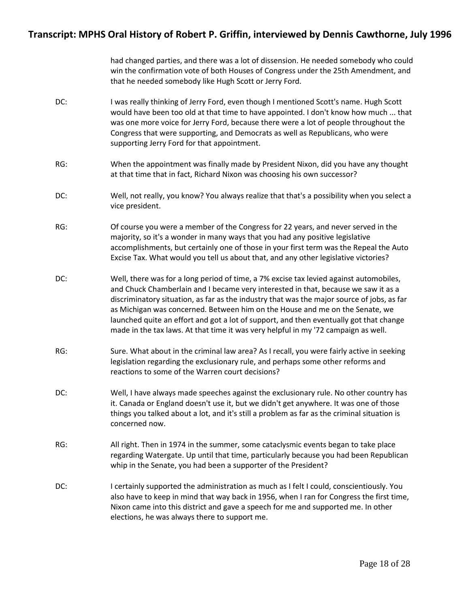had changed parties, and there was a lot of dissension. He needed somebody who could win the confirmation vote of both Houses of Congress under the 25th Amendment, and that he needed somebody like Hugh Scott or Jerry Ford.

- DC: I was really thinking of Jerry Ford, even though I mentioned Scott's name. Hugh Scott would have been too old at that time to have appointed. I don't know how much ... that was one more voice for Jerry Ford, because there were a lot of people throughout the Congress that were supporting, and Democrats as well as Republicans, who were supporting Jerry Ford for that appointment.
- RG: When the appointment was finally made by President Nixon, did you have any thought at that time that in fact, Richard Nixon was choosing his own successor?
- DC: Well, not really, you know? You always realize that that's a possibility when you select a vice president.
- RG: Of course you were a member of the Congress for 22 years, and never served in the majority, so it's a wonder in many ways that you had any positive legislative accomplishments, but certainly one of those in your first term was the Repeal the Auto Excise Tax. What would you tell us about that, and any other legislative victories?
- DC: Well, there was for a long period of time, a 7% excise tax levied against automobiles, and Chuck Chamberlain and I became very interested in that, because we saw it as a discriminatory situation, as far as the industry that was the major source of jobs, as far as Michigan was concerned. Between him on the House and me on the Senate, we launched quite an effort and got a lot of support, and then eventually got that change made in the tax laws. At that time it was very helpful in my '72 campaign as well.
- RG: Sure. What about in the criminal law area? As I recall, you were fairly active in seeking legislation regarding the exclusionary rule, and perhaps some other reforms and reactions to some of the Warren court decisions?
- DC: Well, I have always made speeches against the exclusionary rule. No other country has it. Canada or England doesn't use it, but we didn't get anywhere. It was one of those things you talked about a lot, and it's still a problem as far as the criminal situation is concerned now.
- RG: All right. Then in 1974 in the summer, some cataclysmic events began to take place regarding Watergate. Up until that time, particularly because you had been Republican whip in the Senate, you had been a supporter of the President?
- DC: I certainly supported the administration as much as I felt I could, conscientiously. You also have to keep in mind that way back in 1956, when I ran for Congress the first time, Nixon came into this district and gave a speech for me and supported me. In other elections, he was always there to support me.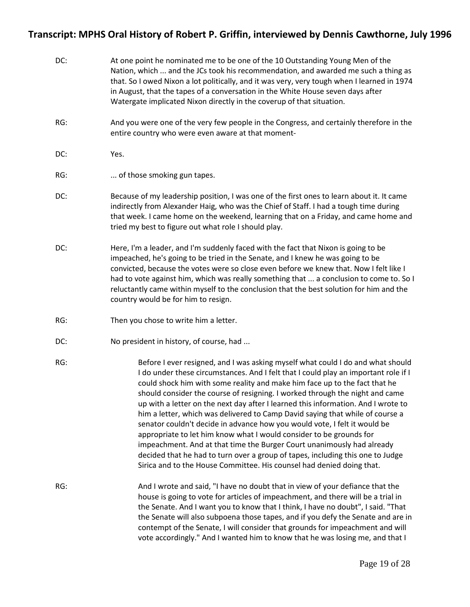| DC: | At one point he nominated me to be one of the 10 Outstanding Young Men of the<br>Nation, which  and the JCs took his recommendation, and awarded me such a thing as<br>that. So I owed Nixon a lot politically, and it was very, very tough when I learned in 1974<br>in August, that the tapes of a conversation in the White House seven days after<br>Watergate implicated Nixon directly in the coverup of that situation.                                                                                                                                                                                                                                                                                                                                                                                                                                                                      |
|-----|-----------------------------------------------------------------------------------------------------------------------------------------------------------------------------------------------------------------------------------------------------------------------------------------------------------------------------------------------------------------------------------------------------------------------------------------------------------------------------------------------------------------------------------------------------------------------------------------------------------------------------------------------------------------------------------------------------------------------------------------------------------------------------------------------------------------------------------------------------------------------------------------------------|
| RG: | And you were one of the very few people in the Congress, and certainly therefore in the<br>entire country who were even aware at that moment-                                                                                                                                                                                                                                                                                                                                                                                                                                                                                                                                                                                                                                                                                                                                                       |
| DC: | Yes.                                                                                                                                                                                                                                                                                                                                                                                                                                                                                                                                                                                                                                                                                                                                                                                                                                                                                                |
| RG: | of those smoking gun tapes.                                                                                                                                                                                                                                                                                                                                                                                                                                                                                                                                                                                                                                                                                                                                                                                                                                                                         |
| DC: | Because of my leadership position, I was one of the first ones to learn about it. It came<br>indirectly from Alexander Haig, who was the Chief of Staff. I had a tough time during<br>that week. I came home on the weekend, learning that on a Friday, and came home and<br>tried my best to figure out what role I should play.                                                                                                                                                                                                                                                                                                                                                                                                                                                                                                                                                                   |
| DC: | Here, I'm a leader, and I'm suddenly faced with the fact that Nixon is going to be<br>impeached, he's going to be tried in the Senate, and I knew he was going to be<br>convicted, because the votes were so close even before we knew that. Now I felt like I<br>had to vote against him, which was really something that  a conclusion to come to. So I<br>reluctantly came within myself to the conclusion that the best solution for him and the<br>country would be for him to resign.                                                                                                                                                                                                                                                                                                                                                                                                         |
| RG: | Then you chose to write him a letter.                                                                                                                                                                                                                                                                                                                                                                                                                                                                                                                                                                                                                                                                                                                                                                                                                                                               |
| DC: | No president in history, of course, had                                                                                                                                                                                                                                                                                                                                                                                                                                                                                                                                                                                                                                                                                                                                                                                                                                                             |
| RG: | Before I ever resigned, and I was asking myself what could I do and what should<br>I do under these circumstances. And I felt that I could play an important role if I<br>could shock him with some reality and make him face up to the fact that he<br>should consider the course of resigning. I worked through the night and came<br>up with a letter on the next day after I learned this information. And I wrote to<br>him a letter, which was delivered to Camp David saying that while of course a<br>senator couldn't decide in advance how you would vote, I felt it would be<br>appropriate to let him know what I would consider to be grounds for<br>impeachment. And at that time the Burger Court unanimously had already<br>decided that he had to turn over a group of tapes, including this one to Judge<br>Sirica and to the House Committee. His counsel had denied doing that. |
| RG: | And I wrote and said, "I have no doubt that in view of your defiance that the<br>house is going to vote for articles of impeachment, and there will be a trial in<br>the Senate. And I want you to know that I think, I have no doubt", I said. "That<br>the Senate will also subpoena those tapes, and if you defy the Senate and are in<br>contempt of the Senate, I will consider that grounds for impeachment and will<br>vote accordingly." And I wanted him to know that he was losing me, and that I                                                                                                                                                                                                                                                                                                                                                                                         |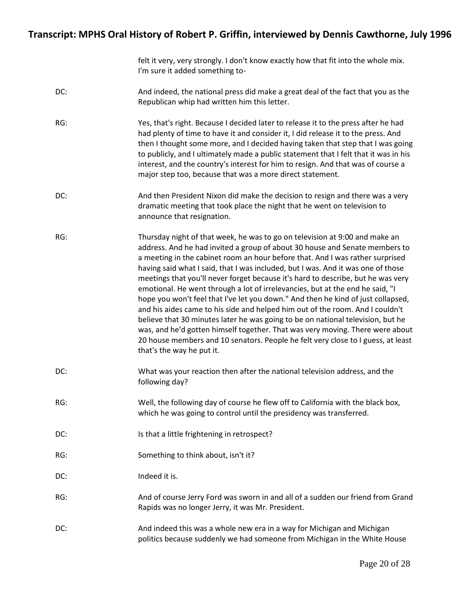felt it very, very strongly. I don't know exactly how that fit into the whole mix. I'm sure it added something to-

- DC: And indeed, the national press did make a great deal of the fact that you as the Republican whip had written him this letter.
- RG: Yes, that's right. Because I decided later to release it to the press after he had had plenty of time to have it and consider it, I did release it to the press. And then I thought some more, and I decided having taken that step that I was going to publicly, and I ultimately made a public statement that I felt that it was in his interest, and the country's interest for him to resign. And that was of course a major step too, because that was a more direct statement.
- DC: And then President Nixon did make the decision to resign and there was a very dramatic meeting that took place the night that he went on television to announce that resignation.
- RG: Thursday night of that week, he was to go on television at 9:00 and make an address. And he had invited a group of about 30 house and Senate members to a meeting in the cabinet room an hour before that. And I was rather surprised having said what I said, that I was included, but I was. And it was one of those meetings that you'll never forget because it's hard to describe, but he was very emotional. He went through a lot of irrelevancies, but at the end he said, "I hope you won't feel that I've let you down." And then he kind of just collapsed, and his aides came to his side and helped him out of the room. And I couldn't believe that 30 minutes later he was going to be on national television, but he was, and he'd gotten himself together. That was very moving. There were about 20 house members and 10 senators. People he felt very close to I guess, at least that's the way he put it.
- DC: What was your reaction then after the national television address, and the following day?
- RG: Well, the following day of course he flew off to California with the black box, which he was going to control until the presidency was transferred.
- DC: Is that a little frightening in retrospect?
- RG: Something to think about, isn't it?
- DC: Indeed it is.
- RG: And of course Jerry Ford was sworn in and all of a sudden our friend from Grand Rapids was no longer Jerry, it was Mr. President.
- DC: And indeed this was a whole new era in a way for Michigan and Michigan and Michigan politics because suddenly we had someone from Michigan in the White House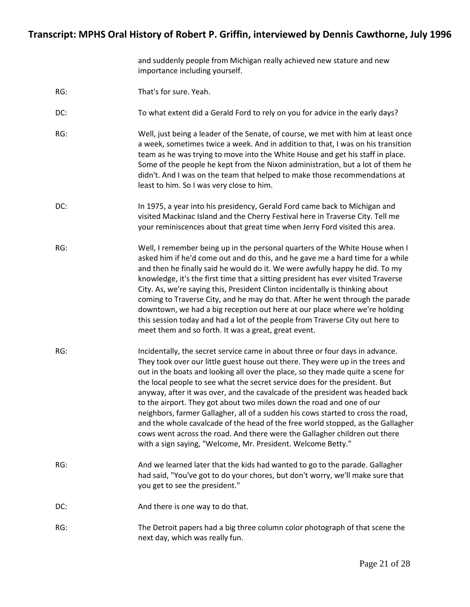and suddenly people from Michigan really achieved new stature and new importance including yourself.

- RG: That's for sure. Yeah.
- DC: To what extent did a Gerald Ford to rely on you for advice in the early days?
- RG: Well, just being a leader of the Senate, of course, we met with him at least once a week, sometimes twice a week. And in addition to that, I was on his transition team as he was trying to move into the White House and get his staff in place. Some of the people he kept from the Nixon administration, but a lot of them he didn't. And I was on the team that helped to make those recommendations at least to him. So I was very close to him.
- DC: In 1975, a year into his presidency, Gerald Ford came back to Michigan and visited Mackinac Island and the Cherry Festival here in Traverse City. Tell me your reminiscences about that great time when Jerry Ford visited this area.
- RG: Well, I remember being up in the personal quarters of the White House when I asked him if he'd come out and do this, and he gave me a hard time for a while and then he finally said he would do it. We were awfully happy he did. To my knowledge, it's the first time that a sitting president has ever visited Traverse City. As, we're saying this, President Clinton incidentally is thinking about coming to Traverse City, and he may do that. After he went through the parade downtown, we had a big reception out here at our place where we're holding this session today and had a lot of the people from Traverse City out here to meet them and so forth. It was a great, great event.
- RG: Incidentally, the secret service came in about three or four days in advance. They took over our little guest house out there. They were up in the trees and out in the boats and looking all over the place, so they made quite a scene for the local people to see what the secret service does for the president. But anyway, after it was over, and the cavalcade of the president was headed back to the airport. They got about two miles down the road and one of our neighbors, farmer Gallagher, all of a sudden his cows started to cross the road, and the whole cavalcade of the head of the free world stopped, as the Gallagher cows went across the road. And there were the Gallagher children out there with a sign saying, "Welcome, Mr. President. Welcome Betty."
- RG: And we learned later that the kids had wanted to go to the parade. Gallagher had said, "You've got to do your chores, but don't worry, we'll make sure that you get to see the president."
- DC: And there is one way to do that.
- RG: The Detroit papers had a big three column color photograph of that scene the next day, which was really fun.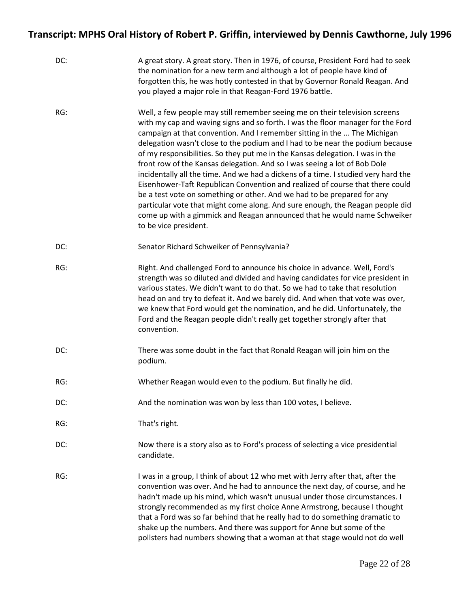| DC: | A great story. A great story. Then in 1976, of course, President Ford had to seek<br>the nomination for a new term and although a lot of people have kind of<br>forgotten this, he was hotly contested in that by Governor Ronald Reagan. And<br>you played a major role in that Reagan-Ford 1976 battle.                                                                                                                                                                                                                                                                                                                                                                                                                                                                                                                                                                                                                         |
|-----|-----------------------------------------------------------------------------------------------------------------------------------------------------------------------------------------------------------------------------------------------------------------------------------------------------------------------------------------------------------------------------------------------------------------------------------------------------------------------------------------------------------------------------------------------------------------------------------------------------------------------------------------------------------------------------------------------------------------------------------------------------------------------------------------------------------------------------------------------------------------------------------------------------------------------------------|
| RG: | Well, a few people may still remember seeing me on their television screens<br>with my cap and waving signs and so forth. I was the floor manager for the Ford<br>campaign at that convention. And I remember sitting in the  The Michigan<br>delegation wasn't close to the podium and I had to be near the podium because<br>of my responsibilities. So they put me in the Kansas delegation. I was in the<br>front row of the Kansas delegation. And so I was seeing a lot of Bob Dole<br>incidentally all the time. And we had a dickens of a time. I studied very hard the<br>Eisenhower-Taft Republican Convention and realized of course that there could<br>be a test vote on something or other. And we had to be prepared for any<br>particular vote that might come along. And sure enough, the Reagan people did<br>come up with a gimmick and Reagan announced that he would name Schweiker<br>to be vice president. |
| DC: | Senator Richard Schweiker of Pennsylvania?                                                                                                                                                                                                                                                                                                                                                                                                                                                                                                                                                                                                                                                                                                                                                                                                                                                                                        |
| RG: | Right. And challenged Ford to announce his choice in advance. Well, Ford's<br>strength was so diluted and divided and having candidates for vice president in<br>various states. We didn't want to do that. So we had to take that resolution<br>head on and try to defeat it. And we barely did. And when that vote was over,<br>we knew that Ford would get the nomination, and he did. Unfortunately, the<br>Ford and the Reagan people didn't really get together strongly after that<br>convention.                                                                                                                                                                                                                                                                                                                                                                                                                          |
| DC: | There was some doubt in the fact that Ronald Reagan will join him on the<br>podium.                                                                                                                                                                                                                                                                                                                                                                                                                                                                                                                                                                                                                                                                                                                                                                                                                                               |
| RG: | Whether Reagan would even to the podium. But finally he did.                                                                                                                                                                                                                                                                                                                                                                                                                                                                                                                                                                                                                                                                                                                                                                                                                                                                      |
| DC: | And the nomination was won by less than 100 votes, I believe.                                                                                                                                                                                                                                                                                                                                                                                                                                                                                                                                                                                                                                                                                                                                                                                                                                                                     |
| RG: | That's right.                                                                                                                                                                                                                                                                                                                                                                                                                                                                                                                                                                                                                                                                                                                                                                                                                                                                                                                     |
| DC: | Now there is a story also as to Ford's process of selecting a vice presidential<br>candidate.                                                                                                                                                                                                                                                                                                                                                                                                                                                                                                                                                                                                                                                                                                                                                                                                                                     |
| RG: | I was in a group, I think of about 12 who met with Jerry after that, after the<br>convention was over. And he had to announce the next day, of course, and he<br>hadn't made up his mind, which wasn't unusual under those circumstances. I<br>strongly recommended as my first choice Anne Armstrong, because I thought<br>that a Ford was so far behind that he really had to do something dramatic to<br>shake up the numbers. And there was support for Anne but some of the<br>pollsters had numbers showing that a woman at that stage would not do well                                                                                                                                                                                                                                                                                                                                                                    |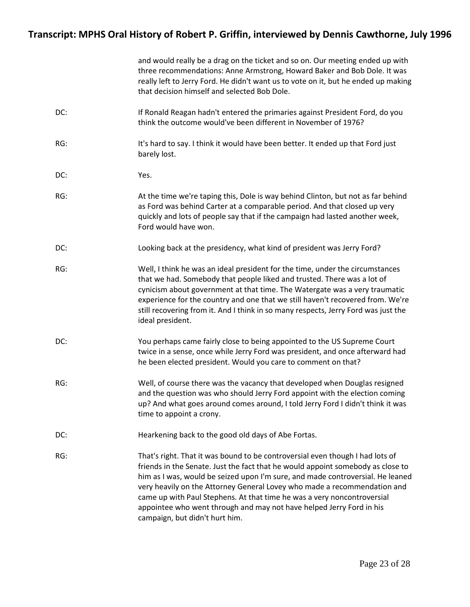|     | and would really be a drag on the ticket and so on. Our meeting ended up with<br>three recommendations: Anne Armstrong, Howard Baker and Bob Dole. It was<br>really left to Jerry Ford. He didn't want us to vote on it, but he ended up making<br>that decision himself and selected Bob Dole.                                                                                                                                                                                                                     |
|-----|---------------------------------------------------------------------------------------------------------------------------------------------------------------------------------------------------------------------------------------------------------------------------------------------------------------------------------------------------------------------------------------------------------------------------------------------------------------------------------------------------------------------|
| DC: | If Ronald Reagan hadn't entered the primaries against President Ford, do you<br>think the outcome would've been different in November of 1976?                                                                                                                                                                                                                                                                                                                                                                      |
| RG: | It's hard to say. I think it would have been better. It ended up that Ford just<br>barely lost.                                                                                                                                                                                                                                                                                                                                                                                                                     |
| DC: | Yes.                                                                                                                                                                                                                                                                                                                                                                                                                                                                                                                |
| RG: | At the time we're taping this, Dole is way behind Clinton, but not as far behind<br>as Ford was behind Carter at a comparable period. And that closed up very<br>quickly and lots of people say that if the campaign had lasted another week,<br>Ford would have won.                                                                                                                                                                                                                                               |
| DC: | Looking back at the presidency, what kind of president was Jerry Ford?                                                                                                                                                                                                                                                                                                                                                                                                                                              |
| RG: | Well, I think he was an ideal president for the time, under the circumstances<br>that we had. Somebody that people liked and trusted. There was a lot of<br>cynicism about government at that time. The Watergate was a very traumatic<br>experience for the country and one that we still haven't recovered from. We're<br>still recovering from it. And I think in so many respects, Jerry Ford was just the<br>ideal president.                                                                                  |
| DC: | You perhaps came fairly close to being appointed to the US Supreme Court<br>twice in a sense, once while Jerry Ford was president, and once afterward had<br>he been elected president. Would you care to comment on that?                                                                                                                                                                                                                                                                                          |
| RG: | Well, of course there was the vacancy that developed when Douglas resigned<br>and the question was who should Jerry Ford appoint with the election coming<br>up? And what goes around comes around, I told Jerry Ford I didn't think it was<br>time to appoint a crony.                                                                                                                                                                                                                                             |
| DC: | Hearkening back to the good old days of Abe Fortas.                                                                                                                                                                                                                                                                                                                                                                                                                                                                 |
| RG: | That's right. That it was bound to be controversial even though I had lots of<br>friends in the Senate. Just the fact that he would appoint somebody as close to<br>him as I was, would be seized upon I'm sure, and made controversial. He leaned<br>very heavily on the Attorney General Lovey who made a recommendation and<br>came up with Paul Stephens. At that time he was a very noncontroversial<br>appointee who went through and may not have helped Jerry Ford in his<br>campaign, but didn't hurt him. |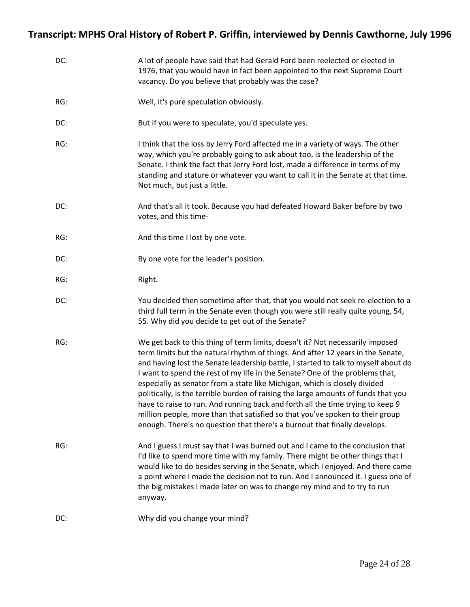| DC: | A lot of people have said that had Gerald Ford been reelected or elected in<br>1976, that you would have in fact been appointed to the next Supreme Court<br>vacancy. Do you believe that probably was the case?                                                                                                                                                                                                                                                                                                                                                                                                                                                                                                                                           |
|-----|------------------------------------------------------------------------------------------------------------------------------------------------------------------------------------------------------------------------------------------------------------------------------------------------------------------------------------------------------------------------------------------------------------------------------------------------------------------------------------------------------------------------------------------------------------------------------------------------------------------------------------------------------------------------------------------------------------------------------------------------------------|
| RG: | Well, it's pure speculation obviously.                                                                                                                                                                                                                                                                                                                                                                                                                                                                                                                                                                                                                                                                                                                     |
| DC: | But if you were to speculate, you'd speculate yes.                                                                                                                                                                                                                                                                                                                                                                                                                                                                                                                                                                                                                                                                                                         |
| RG: | I think that the loss by Jerry Ford affected me in a variety of ways. The other<br>way, which you're probably going to ask about too, is the leadership of the<br>Senate. I think the fact that Jerry Ford lost, made a difference in terms of my<br>standing and stature or whatever you want to call it in the Senate at that time.<br>Not much, but just a little.                                                                                                                                                                                                                                                                                                                                                                                      |
| DC: | And that's all it took. Because you had defeated Howard Baker before by two<br>votes, and this time-                                                                                                                                                                                                                                                                                                                                                                                                                                                                                                                                                                                                                                                       |
| RG: | And this time I lost by one vote.                                                                                                                                                                                                                                                                                                                                                                                                                                                                                                                                                                                                                                                                                                                          |
| DC: | By one vote for the leader's position.                                                                                                                                                                                                                                                                                                                                                                                                                                                                                                                                                                                                                                                                                                                     |
| RG: | Right.                                                                                                                                                                                                                                                                                                                                                                                                                                                                                                                                                                                                                                                                                                                                                     |
| DC: | You decided then sometime after that, that you would not seek re-election to a<br>third full term in the Senate even though you were still really quite young, 54,<br>55. Why did you decide to get out of the Senate?                                                                                                                                                                                                                                                                                                                                                                                                                                                                                                                                     |
| RG: | We get back to this thing of term limits, doesn't it? Not necessarily imposed<br>term limits but the natural rhythm of things. And after 12 years in the Senate,<br>and having lost the Senate leadership battle, I started to talk to myself about do<br>I want to spend the rest of my life in the Senate? One of the problems that,<br>especially as senator from a state like Michigan, which is closely divided<br>politically, is the terrible burden of raising the large amounts of funds that you<br>have to raise to run. And running back and forth all the time trying to keep 9<br>million people, more than that satisfied so that you've spoken to their group<br>enough. There's no question that there's a burnout that finally develops. |
| RG: | And I guess I must say that I was burned out and I came to the conclusion that<br>I'd like to spend more time with my family. There might be other things that I<br>would like to do besides serving in the Senate, which I enjoyed. And there came<br>a point where I made the decision not to run. And I announced it. I guess one of<br>the big mistakes I made later on was to change my mind and to try to run<br>anyway.                                                                                                                                                                                                                                                                                                                             |
| DC: | Why did you change your mind?                                                                                                                                                                                                                                                                                                                                                                                                                                                                                                                                                                                                                                                                                                                              |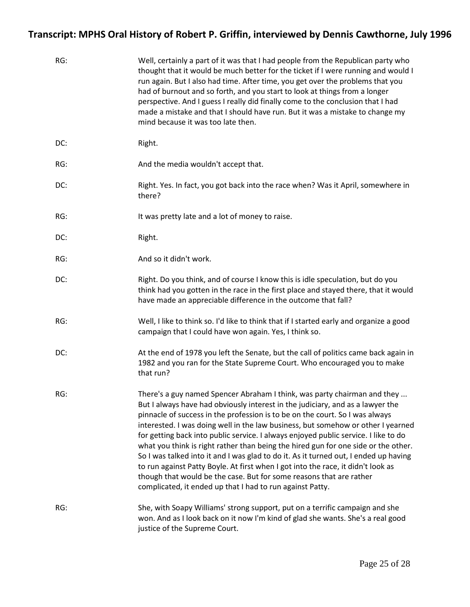| RG: | Well, certainly a part of it was that I had people from the Republican party who<br>thought that it would be much better for the ticket if I were running and would I<br>run again. But I also had time. After time, you get over the problems that you<br>had of burnout and so forth, and you start to look at things from a longer<br>perspective. And I guess I really did finally come to the conclusion that I had<br>made a mistake and that I should have run. But it was a mistake to change my<br>mind because it was too late then.                                                                                                                                                                                                                                                                              |
|-----|-----------------------------------------------------------------------------------------------------------------------------------------------------------------------------------------------------------------------------------------------------------------------------------------------------------------------------------------------------------------------------------------------------------------------------------------------------------------------------------------------------------------------------------------------------------------------------------------------------------------------------------------------------------------------------------------------------------------------------------------------------------------------------------------------------------------------------|
| DC: | Right.                                                                                                                                                                                                                                                                                                                                                                                                                                                                                                                                                                                                                                                                                                                                                                                                                      |
| RG: | And the media wouldn't accept that.                                                                                                                                                                                                                                                                                                                                                                                                                                                                                                                                                                                                                                                                                                                                                                                         |
| DC: | Right. Yes. In fact, you got back into the race when? Was it April, somewhere in<br>there?                                                                                                                                                                                                                                                                                                                                                                                                                                                                                                                                                                                                                                                                                                                                  |
| RG: | It was pretty late and a lot of money to raise.                                                                                                                                                                                                                                                                                                                                                                                                                                                                                                                                                                                                                                                                                                                                                                             |
| DC: | Right.                                                                                                                                                                                                                                                                                                                                                                                                                                                                                                                                                                                                                                                                                                                                                                                                                      |
| RG: | And so it didn't work.                                                                                                                                                                                                                                                                                                                                                                                                                                                                                                                                                                                                                                                                                                                                                                                                      |
| DC: | Right. Do you think, and of course I know this is idle speculation, but do you<br>think had you gotten in the race in the first place and stayed there, that it would<br>have made an appreciable difference in the outcome that fall?                                                                                                                                                                                                                                                                                                                                                                                                                                                                                                                                                                                      |
| RG: | Well, I like to think so. I'd like to think that if I started early and organize a good<br>campaign that I could have won again. Yes, I think so.                                                                                                                                                                                                                                                                                                                                                                                                                                                                                                                                                                                                                                                                           |
| DC: | At the end of 1978 you left the Senate, but the call of politics came back again in<br>1982 and you ran for the State Supreme Court. Who encouraged you to make<br>that run?                                                                                                                                                                                                                                                                                                                                                                                                                                                                                                                                                                                                                                                |
| RG: | There's a guy named Spencer Abraham I think, was party chairman and they<br>But I always have had obviously interest in the judiciary, and as a lawyer the<br>pinnacle of success in the profession is to be on the court. So I was always<br>interested. I was doing well in the law business, but somehow or other I yearned<br>for getting back into public service. I always enjoyed public service. I like to do<br>what you think is right rather than being the hired gun for one side or the other.<br>So I was talked into it and I was glad to do it. As it turned out, I ended up having<br>to run against Patty Boyle. At first when I got into the race, it didn't look as<br>though that would be the case. But for some reasons that are rather<br>complicated, it ended up that I had to run against Patty. |
| RG: | She, with Soapy Williams' strong support, put on a terrific campaign and she<br>won. And as I look back on it now I'm kind of glad she wants. She's a real good<br>justice of the Supreme Court.                                                                                                                                                                                                                                                                                                                                                                                                                                                                                                                                                                                                                            |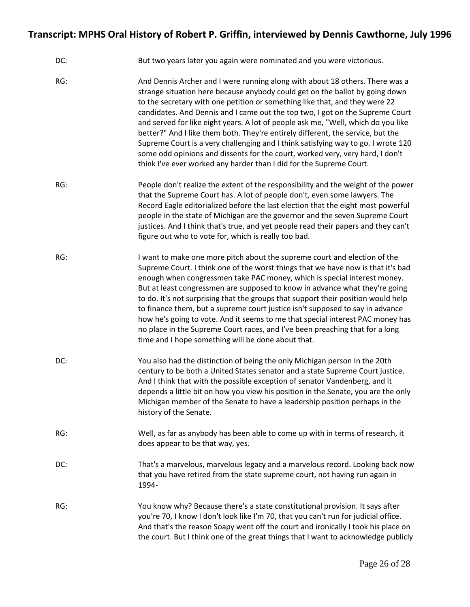| DC: | But two years later you again were nominated and you were victorious.                                                                                                                                                                                                                                                                                                                                                                                                                                                                                                                                                                                                                                                                             |
|-----|---------------------------------------------------------------------------------------------------------------------------------------------------------------------------------------------------------------------------------------------------------------------------------------------------------------------------------------------------------------------------------------------------------------------------------------------------------------------------------------------------------------------------------------------------------------------------------------------------------------------------------------------------------------------------------------------------------------------------------------------------|
| RG: | And Dennis Archer and I were running along with about 18 others. There was a<br>strange situation here because anybody could get on the ballot by going down<br>to the secretary with one petition or something like that, and they were 22<br>candidates. And Dennis and I came out the top two, I got on the Supreme Court<br>and served for like eight years. A lot of people ask me, "Well, which do you like<br>better?" And I like them both. They're entirely different, the service, but the<br>Supreme Court is a very challenging and I think satisfying way to go. I wrote 120<br>some odd opinions and dissents for the court, worked very, very hard, I don't<br>think I've ever worked any harder than I did for the Supreme Court. |
| RG: | People don't realize the extent of the responsibility and the weight of the power<br>that the Supreme Court has. A lot of people don't, even some lawyers. The<br>Record Eagle editorialized before the last election that the eight most powerful<br>people in the state of Michigan are the governor and the seven Supreme Court<br>justices. And I think that's true, and yet people read their papers and they can't<br>figure out who to vote for, which is really too bad.                                                                                                                                                                                                                                                                  |
| RG: | I want to make one more pitch about the supreme court and election of the<br>Supreme Court. I think one of the worst things that we have now is that it's bad<br>enough when congressmen take PAC money, which is special interest money.<br>But at least congressmen are supposed to know in advance what they're going<br>to do. It's not surprising that the groups that support their position would help<br>to finance them, but a supreme court justice isn't supposed to say in advance<br>how he's going to vote. And it seems to me that special interest PAC money has<br>no place in the Supreme Court races, and I've been preaching that for a long<br>time and I hope something will be done about that.                            |
| DC: | You also had the distinction of being the only Michigan person In the 20th<br>century to be both a United States senator and a state Supreme Court justice.<br>And I think that with the possible exception of senator Vandenberg, and it<br>depends a little bit on how you view his position in the Senate, you are the only<br>Michigan member of the Senate to have a leadership position perhaps in the<br>history of the Senate.                                                                                                                                                                                                                                                                                                            |
| RG: | Well, as far as anybody has been able to come up with in terms of research, it<br>does appear to be that way, yes.                                                                                                                                                                                                                                                                                                                                                                                                                                                                                                                                                                                                                                |
| DC: | That's a marvelous, marvelous legacy and a marvelous record. Looking back now<br>that you have retired from the state supreme court, not having run again in<br>1994-                                                                                                                                                                                                                                                                                                                                                                                                                                                                                                                                                                             |
| RG: | You know why? Because there's a state constitutional provision. It says after<br>you're 70, I know I don't look like I'm 70, that you can't run for judicial office.<br>And that's the reason Soapy went off the court and ironically I took his place on<br>the court. But I think one of the great things that I want to acknowledge publicly                                                                                                                                                                                                                                                                                                                                                                                                   |